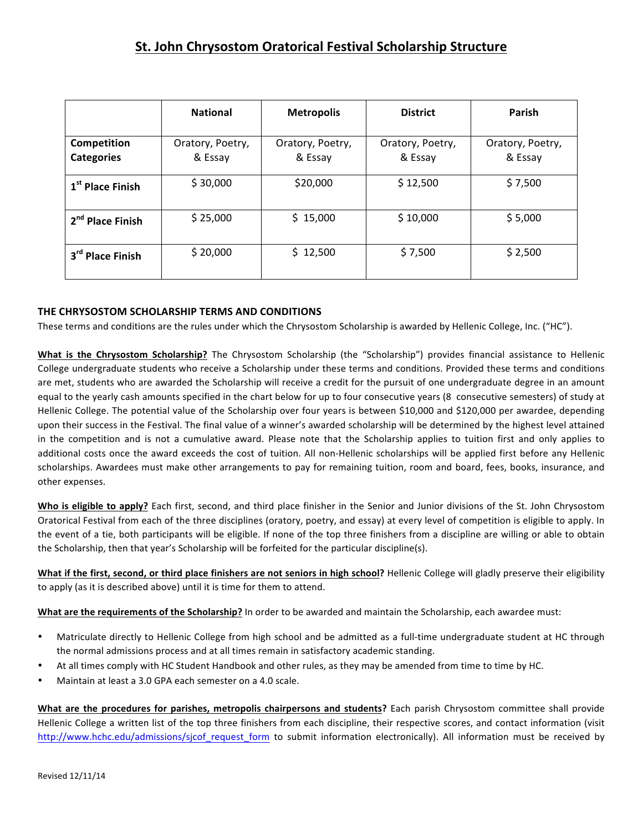|                                  | <b>National</b>             | <b>Metropolis</b>           | <b>District</b>             | Parish                      |
|----------------------------------|-----------------------------|-----------------------------|-----------------------------|-----------------------------|
| Competition<br><b>Categories</b> | Oratory, Poetry,<br>& Essay | Oratory, Poetry,<br>& Essay | Oratory, Poetry,<br>& Essay | Oratory, Poetry,<br>& Essay |
| 1 <sup>st</sup> Place Finish     | \$30,000                    | \$20,000                    | \$12,500                    | \$7,500                     |
| 2 <sup>nd</sup> Place Finish     | \$25,000                    | \$15,000                    | \$10,000                    | \$5,000                     |
| 3rd Place Finish                 | \$20,000                    | \$12,500                    | \$7,500                     | \$2,500                     |

## **THE CHRYSOSTOM SCHOLARSHIP TERMS AND CONDITIONS**

These terms and conditions are the rules under which the Chrysostom Scholarship is awarded by Hellenic College, Inc. ("HC").

**What is the Chrysostom Scholarship?** The Chrysostom Scholarship (the "Scholarship") provides financial assistance to Hellenic College undergraduate students who receive a Scholarship under these terms and conditions. Provided these terms and conditions are met, students who are awarded the Scholarship will receive a credit for the pursuit of one undergraduate degree in an amount equal to the yearly cash amounts specified in the chart below for up to four consecutive years (8 consecutive semesters) of study at Hellenic College. The potential value of the Scholarship over four years is between \$10,000 and \$120,000 per awardee, depending upon their success in the Festival. The final value of a winner's awarded scholarship will be determined by the highest level attained in the competition and is not a cumulative award. Please note that the Scholarship applies to tuition first and only applies to additional costs once the award exceeds the cost of tuition. All non-Hellenic scholarships will be applied first before any Hellenic scholarships. Awardees must make other arrangements to pay for remaining tuition, room and board, fees, books, insurance, and other expenses.

**Who is eligible to apply?** Each first, second, and third place finisher in the Senior and Junior divisions of the St. John Chrysostom Oratorical Festival from each of the three disciplines (oratory, poetry, and essay) at every level of competition is eligible to apply. In the event of a tie, both participants will be eligible. If none of the top three finishers from a discipline are willing or able to obtain the Scholarship, then that year's Scholarship will be forfeited for the particular discipline(s).

What if the first, second, or third place finishers are not seniors in high school? Hellenic College will gladly preserve their eligibility to apply (as it is described above) until it is time for them to attend.

**What are the requirements of the Scholarship?** In order to be awarded and maintain the Scholarship, each awardee must:

- Matriculate directly to Hellenic College from high school and be admitted as a full-time undergraduate student at HC through the normal admissions process and at all times remain in satisfactory academic standing.
- At all times comply with HC Student Handbook and other rules, as they may be amended from time to time by HC.
- Maintain at least a 3.0 GPA each semester on a 4.0 scale.

What are the procedures for parishes, metropolis chairpersons and students? Each parish Chrysostom committee shall provide Hellenic College a written list of the top three finishers from each discipline, their respective scores, and contact information (visit http://www.hchc.edu/admissions/sjcof request form to submit information electronically). All information must be received by